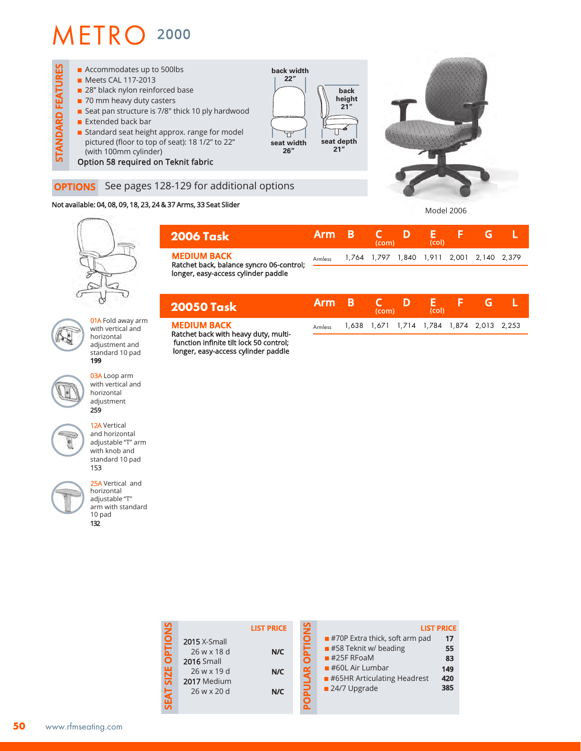## METRO 2000



## Not available: 04, 08, 09, 18, 23, 24 & 37 Arms, 33 Seat Slider

Model 2006



01A Fold away arm with vertical and horizontal adjustment and standard 10 pad **199**

03A Loop arm with vertical and horizontal adjustment 259



12A Vertical and horizontal adjustable "T" arm with knob and standard 10 pad 153

25A Vertical and horizontal adjustable "T" arm with standard 10 pad 132

| <b>2006 Task</b>                                               | <b>Arm B</b> | (com) | (col) |                                           |  |
|----------------------------------------------------------------|--------------|-------|-------|-------------------------------------------|--|
| <b>MEDIUM BACK</b><br>Ratchet back, balance syncro 06-control; | Armless      |       |       | 1,764 1,797 1,840 1,911 2,001 2,140 2,379 |  |
| longer, easy-access cylinder paddle                            |              |       |       |                                           |  |

| 20050 Task                                                 | Arm B   | <b>THE CONFIDENT</b><br>(com) |                                           | (col) |  |  |
|------------------------------------------------------------|---------|-------------------------------|-------------------------------------------|-------|--|--|
| <b>MEDIUM BACK</b><br>Ratchet back with heavy duty, multi- | Armless |                               | 1,638 1,671 1,714 1,784 1,874 2,013 2,253 |       |  |  |

Ratchet back with heavy duty, multifunction infinite tilt lock 50 control; longer, easy-access cylinder paddle

|                                              |                                                                                                      | <b>LIST PRICE</b> | <b>SNO</b>                                 |                                                                                                                                                                           | <b>LIST PRICE</b>                   |
|----------------------------------------------|------------------------------------------------------------------------------------------------------|-------------------|--------------------------------------------|---------------------------------------------------------------------------------------------------------------------------------------------------------------------------|-------------------------------------|
| <b>OPTIONS</b><br><b>SIZE</b><br><b>SEAT</b> | <b>2015</b> X-Small<br>26 w x 18 d<br><b>2016 Small</b><br>26 w x 19 d<br>2017 Medium<br>26 w x 20 d | N/C<br>N/C<br>N/C | <b>TRO</b><br>$\tilde{A}$ R<br><b>POPU</b> | $\blacksquare$ #70P Extra thick, soft arm pad<br>#58 Teknit w/ beading<br>$#25F$ RFoaM<br>$#60L$ Air Lumbar<br>$\blacksquare$ #65HR Articulating Headrest<br>24/7 Upgrade | 17<br>55<br>83<br>149<br>420<br>385 |
|                                              |                                                                                                      |                   |                                            |                                                                                                                                                                           |                                     |